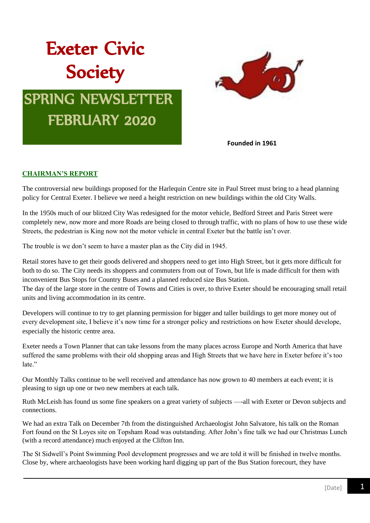# Exeter Civic **Society**

# SPRING NEWSLETTER FEBRUARY 2020



**Founded in 1961**

# **CHAIRMAN'S REPORT**

The controversial new buildings proposed for the Harlequin Centre site in Paul Street must bring to a head planning policy for Central Exeter. I believe we need a height restriction on new buildings within the old City Walls.

In the 1950s much of our blitzed City Was redesigned for the motor vehicle, Bedford Street and Paris Street were completely new, now more and more Roads are being closed to through traffic, with no plans of how to use these wide Streets, the pedestrian is King now not the motor vehicle in central Exeter but the battle isn't over.

The trouble is we don't seem to have a master plan as the City did in 1945.

Retail stores have to get their goods delivered and shoppers need to get into High Street, but it gets more difficult for both to do so. The City needs its shoppers and commuters from out of Town, but life is made difficult for them with inconvenient Bus Stops for Country Buses and a planned reduced size Bus Station. The day of the large store in the centre of Towns and Cities is over, to thrive Exeter should be encouraging small retail

units and living accommodation in its centre.

Developers will continue to try to get planning permission for bigger and taller buildings to get more money out of every development site, I believe it's now time for a stronger policy and restrictions on how Exeter should develope, especially the historic centre area.

Exeter needs a Town Planner that can take lessons from the many places across Europe and North America that have suffered the same problems with their old shopping areas and High Streets that we have here in Exeter before it's too late."

Our Monthly Talks continue to be well received and attendance has now grown to 40 members at each event; it is pleasing to sign up one or two new members at each talk.

Ruth McLeish has found us some fine speakers on a great variety of subjects —-all with Exeter or Devon subjects and connections.

We had an extra Talk on December 7th from the distinguished Archaeologist John Salvatore, his talk on the Roman Fort found on the St Loyes site on Topsham Road was outstanding. After John's fine talk we had our Christmas Lunch (with a record attendance) much enjoyed at the Clifton Inn.

The St Sidwell's Point Swimming Pool development progresses and we are told it will be finished in twelve months. Close by, where archaeologists have been working hard digging up part of the Bus Station forecourt, they have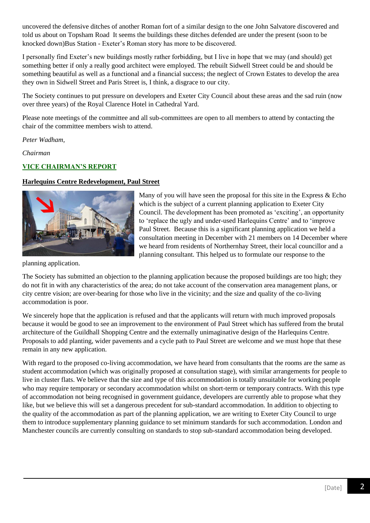uncovered the defensive ditches of another Roman fort of a similar design to the one John Salvatore discovered and told us about on Topsham Road It seems the buildings these ditches defended are under the present (soon to be knocked down)Bus Station - Exeter's Roman story has more to be discovered.

I personally find Exeter's new buildings mostly rather forbidding, but I live in hope that we may (and should) get something better if only a really good architect were employed. The rebuilt Sidwell Street could be and should be something beautiful as well as a functional and a financial success; the neglect of Crown Estates to develop the area they own in Sidwell Street and Paris Street is, I think, a disgrace to our city.

The Society continues to put pressure on developers and Exeter City Council about these areas and the sad ruin (now over three years) of the Royal Clarence Hotel in Cathedral Yard.

Please note meetings of the committee and all sub-committees are open to all members to attend by contacting the chair of the committee members wish to attend.

*Peter Wadham,*

*Chairman*

# **VICE CHAIRMAN'S REPORT**

# **Harlequins Centre Redevelopment, Paul Street**



Many of you will have seen the proposal for this site in the Express  $& Echo$ which is the subject of a current planning application to Exeter City Council. The development has been promoted as 'exciting', an opportunity to 'replace the ugly and under-used Harlequins Centre' and to 'improve Paul Street. Because this is a significant planning application we held a consultation meeting in December with 21 members on 14 December where we heard from residents of Northernhay Street, their local councillor and a planning consultant. This helped us to formulate our response to the

planning application.

The Society has submitted an objection to the planning application because the proposed buildings are too high; they do not fit in with any characteristics of the area; do not take account of the conservation area management plans, or city centre vision; are over-bearing for those who live in the vicinity; and the size and quality of the co-living accommodation is poor.

We sincerely hope that the application is refused and that the applicants will return with much improved proposals because it would be good to see an improvement to the environment of Paul Street which has suffered from the brutal architecture of the Guildhall Shopping Centre and the externally unimaginative design of the Harlequins Centre. Proposals to add planting, wider pavements and a cycle path to Paul Street are welcome and we must hope that these remain in any new application.

With regard to the proposed co-living accommodation, we have heard from consultants that the rooms are the same as student accommodation (which was originally proposed at consultation stage), with similar arrangements for people to live in cluster flats. We believe that the size and type of this accommodation is totally unsuitable for working people who may require temporary or secondary accommodation whilst on short-term or temporary contracts. With this type of accommodation not being recognised in government guidance, developers are currently able to propose what they like, but we believe this will set a dangerous precedent for sub-standard accommodation. In addition to objecting to the quality of the accommodation as part of the planning application, we are writing to Exeter City Council to urge them to introduce supplementary planning guidance to set minimum standards for such accommodation. London and Manchester councils are currently consulting on standards to stop sub-standard accommodation being developed.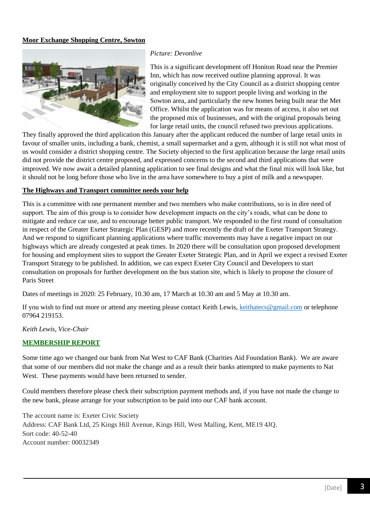# **Moor Exchange Shopping Centre, Sowton**



#### *Picture: Devonlive*

This is a significant development off Honiton Road near the Premier Inn, which has now received outline planning approval. It was originally conceived by the City Council as a district shopping centre and employment site to support people living and working in the Sowton area, and particularly the new homes being built near the Met Office. Whilst the application was for means of access, it also set out the proposed mix of businesses, and with the original proposals being for large retail units, the council refused two previous applications.

They finally approved the third application this January after the applicant reduced the number of large retail units in favour of smaller units, including a bank, chemist, a small supermarket and a gym, although it is still not what most of us would consider a district shopping centre. The Society objected to the first application because the large retail units did not provide the district centre proposed, and expressed concerns to the second and third applications that were improved. We now await a detailed planning application to see final designs and what the final mix will look like, but it should not be long before those who live in the area have somewhere to buy a pint of milk and a newspaper.

#### **The Highways and Transport committee needs your help**

This is a committee with one permanent member and two members who make contributions, so is in dire need of support. The aim of this group is to consider how development impacts on the city's roads, what can be done to mitigate and reduce car use, and to encourage better public transport. We responded to the first round of consultation in respect of the Greater Exeter Strategic Plan (GESP) and more recently the draft of the Exeter Transport Strategy. And we respond to significant planning applications where traffic movements may have a negative impact on our highways which are already congested at peak times. In 2020 there will be consultation upon proposed development for housing and employment sites to support the Greater Exeter Strategic Plan, and in April we expect a revised Exeter Transport Strategy to be published. In addition, we can expect Exeter City Council and Developers to start consultation on proposals for further development on the bus station site, which is likely to propose the closure of Paris Street

Dates of meetings in 2020: 25 February, 10.30 am, 17 March at 10.30 am and 5 May at 10.30 am.

If you wish to find out more or attend any meeting please contact Keith Lewis, [keithatecs@gmail.com](mailto:keithatecs@gmail.com) or telephone 07964 219153.

*Keith Lewis, Vice-Chair*

#### **MEMBERSHIP REPORT**

Some time ago we changed our bank from Nat West to CAF Bank (Charities Aid Foundation Bank). We are aware that some of our members did not make the change and as a result their banks attempted to make payments to Nat West. These payments would have been returned to sender.

Could members therefore please check their subscription payment methods and, if you have not made the change to the new bank, please arrange for your subscription to be paid into our CAF bank account.

The account name is: Exeter Civic Society Address: CAF Bank Ltd, 25 Kings Hill Avenue, Kings Hill, West Malling, Kent, ME19 4JQ. Sort code: 40-52-40 Account number: 00032349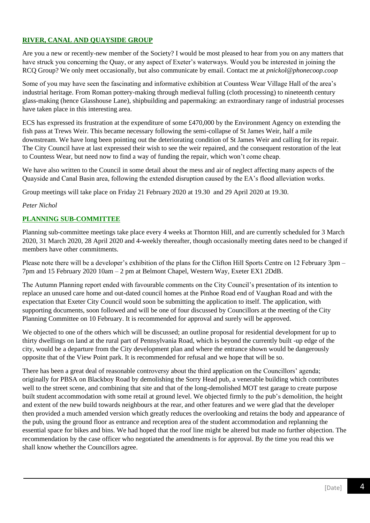# **RIVER, CANAL AND QUAYSIDE GROUP**

Are you a new or recently-new member of the Society? I would be most pleased to hear from you on any matters that have struck you concerning the Quay, or any aspect of Exeter's waterways. Would you be interested in joining the RCQ Group? We only meet occasionally, but also communicate by email. Contact me at *pnickol@phonecoop.coop*

Some of you may have seen the fascinating and informative exhibition at Countess Wear Village Hall of the area's industrial heritage. From Roman pottery-making through medieval fulling (cloth processing) to nineteenth century glass-making (hence Glasshouse Lane), shipbuilding and papermaking: an extraordinary range of industrial processes have taken place in this interesting area.

ECS has expressed its frustration at the expenditure of some £470,000 by the Environment Agency on extending the fish pass at Trews Weir. This became necessary following the semi-collapse of St James Weir, half a mile downstream. We have long been pointing out the deteriorating condition of St James Weir and calling for its repair. The City Council have at last expressed their wish to see the weir repaired, and the consequent restoration of the leat to Countess Wear, but need now to find a way of funding the repair, which won't come cheap.

We have also written to the Council in some detail about the mess and air of neglect affecting many aspects of the Quayside and Canal Basin area, following the extended disruption caused by the EA's flood alleviation works.

Group meetings will take place on Friday 21 February 2020 at 19.30 and 29 April 2020 at 19.30.

#### *Peter Nichol*

# **PLANNING SUB-COMMITTEE**

Planning sub-committee meetings take place every 4 weeks at Thornton Hill, and are currently scheduled for 3 March 2020, 31 March 2020, 28 April 2020 and 4-weekly thereafter, though occasionally meeting dates need to be changed if members have other commitments.

Please note there will be a developer's exhibition of the plans for the Clifton Hill Sports Centre on 12 February 3pm – 7pm and 15 February 2020 10am – 2 pm at Belmont Chapel, Western Way, Exeter EX1 2DdB.

The Autumn Planning report ended with favourable comments on the City Council's presentation of its intention to replace an unused care home and out-dated council homes at the Pinhoe Road end of Vaughan Road and with the expectation that Exeter City Council would soon be submitting the application to itself. The application, with supporting documents, soon followed and will be one of four discussed by Councillors at the meeting of the City Planning Committee on 10 February. It is recommended for approval and surely will be approved.

We objected to one of the others which will be discussed; an outline proposal for residential development for up to thirty dwellings on land at the rural part of Pennsylvania Road, which is beyond the currently built -up edge of the city, would be a departure from the City development plan and where the entrance shown would be dangerously opposite that of the View Point park. It is recommended for refusal and we hope that will be so.

There has been a great deal of reasonable controversy about the third application on the Councillors' agenda; originally for PBSA on Blackboy Road by demolishing the Sorry Head pub, a venerable building which contributes well to the street scene, and combining that site and that of the long-demolished MOT test garage to create purpose built student accommodation with some retail at ground level. We objected firmly to the pub's demolition, the height and extent of the new build towards neighbours at the rear, and other features and we were glad that the developer then provided a much amended version which greatly reduces the overlooking and retains the body and appearance of the pub, using the ground floor as entrance and reception area of the student accommodation and replanning the essential space for bikes and bins. We had hoped that the roof line might be altered but made no further objection. The recommendation by the case officer who negotiated the amendments is for approval. By the time you read this we shall know whether the Councillors agree.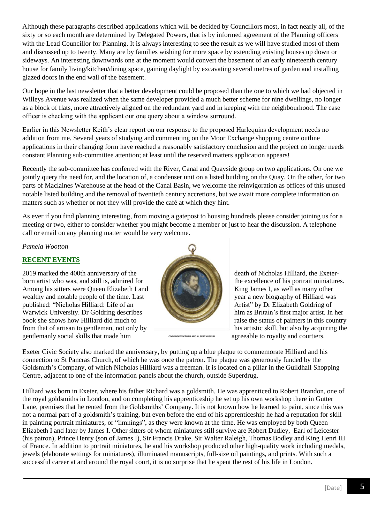Although these paragraphs described applications which will be decided by Councillors most, in fact nearly all, of the sixty or so each month are determined by Delegated Powers, that is by informed agreement of the Planning officers with the Lead Councillor for Planning. It is always interesting to see the result as we will have studied most of them and discussed up to twenty. Many are by families wishing for more space by extending existing houses up down or sideways. An interesting downwards one at the moment would convert the basement of an early nineteenth century house for family living/kitchen/dining space, gaining daylight by excavating several metres of garden and installing glazed doors in the end wall of the basement.

Our hope in the last newsletter that a better development could be proposed than the one to which we had objected in Willeys Avenue was realized when the same developer provided a much better scheme for nine dwellings, no longer as a block of flats, more attractively aligned on the redundant yard and in keeping with the neighbourhood. The case officer is checking with the applicant our one query about a window surround.

Earlier in this Newsletter Keith's clear report on our response to the proposed Harlequins development needs no addition from me. Several years of studying and commenting on the Moor Exchange shopping centre outline applications in their changing form have reached a reasonably satisfactory conclusion and the project no longer needs constant Planning sub-committee attention; at least until the reserved matters application appears!

Recently the sub-committee has conferred with the River, Canal and Quayside group on two applications. On one we jointly query the need for, and the location of, a condenser unit on a listed building on the Quay. On the other, for two parts of Maclaines Warehouse at the head of the Canal Basin, we welcome the reinvigoration as offices of this unused notable listed building and the removal of twentieth century accretions, but we await more complete information on matters such as whether or not they will provide the café at which they hint.

As ever if you find planning interesting, from moving a gatepost to housing hundreds please consider joining us for a meeting or two, either to consider whether you might become a member or just to hear the discussion. A telephone call or email on any planning matter would be very welcome.

*Pamela Wootton*

# **RECENT EVENTS**

2019 marked the 400th anniversary of the death of Nicholas Hilliard, the Exeterborn artist who was, and still is, admired for the excellence of his portrait miniatures. Among his sitters were Queen Elizabeth I and King James I, as well as many other wealthy and notable people of the time. Last year a new biography of Hilliard was published: "Nicholas Hilliard: Life of an Artist" by Dr Elizabeth Goldring of Warwick University. Dr Goldring describes him as Britain's first major artist. In her book she shows how Hilliard did much to raise the status of painters in this country from that of artisan to gentleman, not only by his artistic skill, but also by acquiring the gentlemanly social skills that made him **corrective and ALBERTINUSEUM** agreeable to royalty and courtiers.



Exeter Civic Society also marked the anniversary, by putting up a blue plaque to commemorate Hilliard and his connection to St Pancras Church, of which he was once the patron. The plaque was generously funded by the Goldsmith's Company, of which Nicholas Hilliard was a freeman. It is located on a pillar in the Guildhall Shopping Centre, adjacent to one of the information panels about the church, outside Superdrug.

Hilliard was born in Exeter, where his father Richard was a goldsmith. He was apprenticed to Robert Brandon, one of the royal goldsmiths in London, and on completing his apprenticeship he set up his own workshop there in Gutter Lane, premises that he rented from the Goldsmiths' Company. It is not known how he learned to paint, since this was not a normal part of a goldsmith's training, but even before the end of his apprenticeship he had a reputation for skill in painting portrait miniatures, or "limnings", as they were known at the time. He was employed by both Queen Elizabeth I and later by James I. Other sitters of whom miniatures still survive are Robert Dudley, Earl of Leicester (his patron), Prince Henry (son of James I), Sir Francis Drake, Sir Walter Raleigh, Thomas Bodley and King Henri III of France. In addition to portrait miniatures, he and his workshop produced other high-quality work including medals, jewels (elaborate settings for miniatures), illuminated manuscripts, full-size oil paintings, and prints. With such a successful career at and around the royal court, it is no surprise that he spent the rest of his life in London.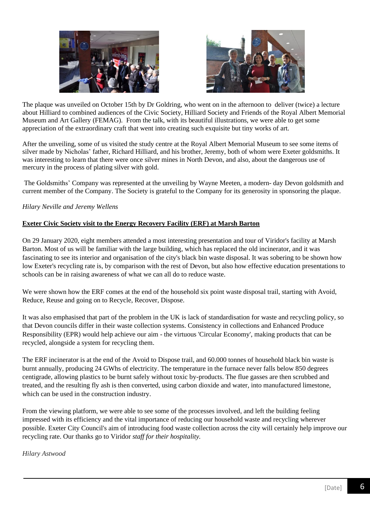



The plaque was unveiled on October 15th by Dr Goldring, who went on in the afternoon to deliver (twice) a lecture about Hilliard to combined audiences of the Civic Society, Hilliard Society and Friends of the Royal Albert Memorial Museum and Art Gallery (FEMAG). From the talk, with its beautiful illustrations, we were able to get some appreciation of the extraordinary craft that went into creating such exquisite but tiny works of art.

After the unveiling, some of us visited the study centre at the Royal Albert Memorial Museum to see some items of silver made by Nicholas' father, Richard Hilliard, and his brother, Jeremy, both of whom were Exeter goldsmiths. It was interesting to learn that there were once silver mines in North Devon, and also, about the dangerous use of mercury in the process of plating silver with gold.

The Goldsmiths' Company was represented at the unveiling by Wayne Meeten, a modern- day Devon goldsmith and current member of the Company. The Society is grateful to the Company for its generosity in sponsoring the plaque.

# *Hilary Neville and Jeremy Wellens*

# **Exeter Civic Society visit to the Energy Recovery Facility (ERF) at Marsh Barton**

On 29 January 2020, eight members attended a most interesting presentation and tour of Viridor's facility at Marsh Barton. Most of us will be familiar with the large building, which has replaced the old incinerator, and it was fascinating to see its interior and organisation of the city's black bin waste disposal. It was sobering to be shown how low Exeter's recycling rate is, by comparison with the rest of Devon, but also how effective education presentations to schools can be in raising awareness of what we can all do to reduce waste.

We were shown how the ERF comes at the end of the household six point waste disposal trail, starting with Avoid, Reduce, Reuse and going on to Recycle, Recover, Dispose.

It was also emphasised that part of the problem in the UK is lack of standardisation for waste and recycling policy, so that Devon councils differ in their waste collection systems. Consistency in collections and Enhanced Produce Responsibility (EPR) would help achieve our aim - the virtuous 'Circular Economy', making products that can be recycled, alongside a system for recycling them.

The ERF incinerator is at the end of the Avoid to Dispose trail, and 60.000 tonnes of household black bin waste is burnt annually, producing 24 GWhs of electricity. The temperature in the furnace never falls below 850 degrees centigrade, allowing plastics to be burnt safely without toxic by-products. The flue gasses are then scrubbed and treated, and the resulting fly ash is then converted, using carbon dioxide and water, into manufactured limestone, which can be used in the construction industry.

From the viewing platform, we were able to see some of the processes involved, and left the building feeling impressed with its efficiency and the vital importance of reducing our household waste and recycling wherever possible. Exeter City Council's aim of introducing food waste collection across the city will certainly help improve our recycling rate. Our thanks go to Viridor *staff for their hospitality.*

*Hilary Astwood*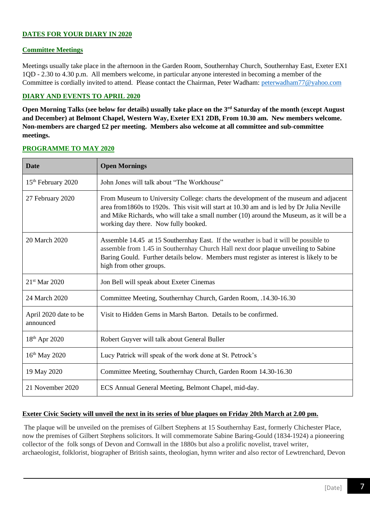# **DATES FOR YOUR DIARY IN 2020**

# **Committee Meetings**

Meetings usually take place in the afternoon in the Garden Room, Southernhay Church, Southernhay East, Exeter EX1 1QD - 2.30 to 4.30 p.m. All members welcome, in particular anyone interested in becoming a member of the Committee is cordially invited to attend. Please contact the Chairman, Peter Wadham: [peterwadham77@yahoo.com](mailto:peterwadham77@yahoo.com)

# **DIARY AND EVENTS TO APRIL 2020**

**Open Morning Talks (see below for details) usually take place on the 3rd Saturday of the month (except August and December) at Belmont Chapel, Western Way, Exeter EX1 2DB, From 10.30 am. New members welcome. Non-members are charged £2 per meeting. Members also welcome at all committee and sub-committee meetings.**

| <b>Date</b>                        | <b>Open Mornings</b>                                                                                                                                                                                                                                                                                                  |
|------------------------------------|-----------------------------------------------------------------------------------------------------------------------------------------------------------------------------------------------------------------------------------------------------------------------------------------------------------------------|
| 15 <sup>th</sup> February 2020     | John Jones will talk about "The Workhouse"                                                                                                                                                                                                                                                                            |
| 27 February 2020                   | From Museum to University College: charts the development of the museum and adjacent<br>area from 1860s to 1920s. This visit will start at 10.30 am and is led by Dr Julia Neville<br>and Mike Richards, who will take a small number (10) around the Museum, as it will be a<br>working day there. Now fully booked. |
| 20 March 2020                      | Assemble 14.45 at 15 Southernhay East. If the weather is bad it will be possible to<br>assemble from 1.45 in Southernhay Church Hall next door plaque unveiling to Sabine<br>Baring Gould. Further details below. Members must register as interest is likely to be<br>high from other groups.                        |
| $21st$ Mar 2020                    | Jon Bell will speak about Exeter Cinemas                                                                                                                                                                                                                                                                              |
| 24 March 2020                      | Committee Meeting, Southernhay Church, Garden Room, .14.30-16.30                                                                                                                                                                                                                                                      |
| April 2020 date to be<br>announced | Visit to Hidden Gems in Marsh Barton. Details to be confirmed.                                                                                                                                                                                                                                                        |
| $18^{th}$ Apr 2020                 | Robert Guyver will talk about General Buller                                                                                                                                                                                                                                                                          |
| $16^{th}$ May 2020                 | Lucy Patrick will speak of the work done at St. Petrock's                                                                                                                                                                                                                                                             |
| 19 May 2020                        | Committee Meeting, Southernhay Church, Garden Room 14.30-16.30                                                                                                                                                                                                                                                        |
| 21 November 2020                   | ECS Annual General Meeting, Belmont Chapel, mid-day.                                                                                                                                                                                                                                                                  |

# **PROGRAMME TO MAY 2020**

# **Exeter Civic Society will unveil the next in its series of blue plaques on Friday 20th March at 2.00 pm.**

The plaque will be unveiled on the premises of Gilbert Stephens at 15 Southernhay East, formerly Chichester Place, now the premises of Gilbert Stephens solicitors. It will commemorate Sabine Baring-Gould (1834-1924) a pioneering collector of the folk songs of Devon and Cornwall in the 1880s but also a prolific novelist, travel writer, archaeologist, folklorist, biographer of British saints, theologian, hymn writer and also rector of Lewtrenchard, Devon